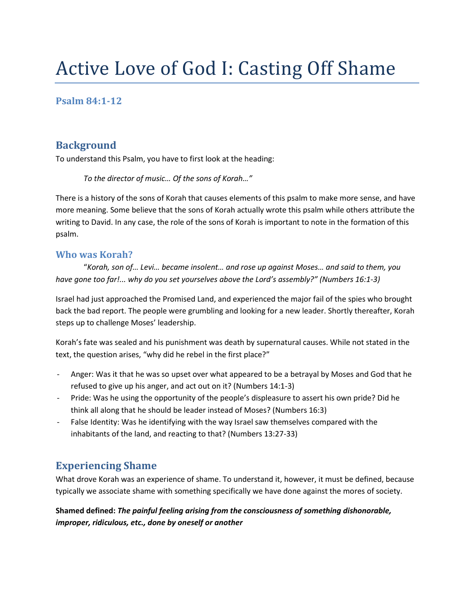# Active Love of God I: Casting Off Shame

#### **Psalm 84:1-12**

#### **Background**

To understand this Psalm, you have to first look at the heading:

*To the director of music… Of the sons of Korah…"*

There is a history of the sons of Korah that causes elements of this psalm to make more sense, and have more meaning. Some believe that the sons of Korah actually wrote this psalm while others attribute the writing to David. In any case, the role of the sons of Korah is important to note in the formation of this psalm.

#### **Who was Korah?**

"*Korah, son of… Levi… became insolent… and rose up against Moses… and said to them, you have gone too far!... why do you set yourselves above the Lord's assembly?" (Numbers 16:1-3)*

Israel had just approached the Promised Land, and experienced the major fail of the spies who brought back the bad report. The people were grumbling and looking for a new leader. Shortly thereafter, Korah steps up to challenge Moses' leadership.

Korah's fate was sealed and his punishment was death by supernatural causes. While not stated in the text, the question arises, "why did he rebel in the first place?"

- Anger: Was it that he was so upset over what appeared to be a betrayal by Moses and God that he refused to give up his anger, and act out on it? (Numbers 14:1-3)
- Pride: Was he using the opportunity of the people's displeasure to assert his own pride? Did he think all along that he should be leader instead of Moses? (Numbers 16:3)
- False Identity: Was he identifying with the way Israel saw themselves compared with the inhabitants of the land, and reacting to that? (Numbers 13:27-33)

## **Experiencing Shame**

What drove Korah was an experience of shame. To understand it, however, it must be defined, because typically we associate shame with something specifically we have done against the mores of society.

**Shamed defined:** *The painful feeling arising from the consciousness of something dishonorable, improper, ridiculous, etc., done by oneself or another*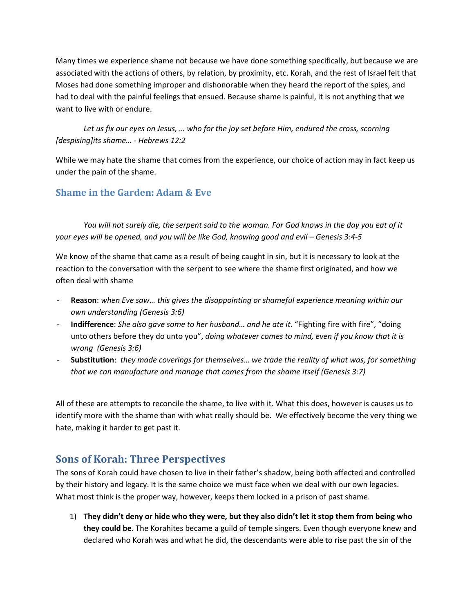Many times we experience shame not because we have done something specifically, but because we are associated with the actions of others, by relation, by proximity, etc. Korah, and the rest of Israel felt that Moses had done something improper and dishonorable when they heard the report of the spies, and had to deal with the painful feelings that ensued. Because shame is painful, it is not anything that we want to live with or endure.

*Let us fix our eyes on Jesus, … who for the joy set before Him, endured the cross, scorning [despising]its shame… - Hebrews 12:2*

While we may hate the shame that comes from the experience, our choice of action may in fact keep us under the pain of the shame.

#### **Shame in the Garden: Adam & Eve**

*You will not surely die, the serpent said to the woman. For God knows in the day you eat of it your eyes will be opened, and you will be like God, knowing good and evil – Genesis 3:4-5* 

We know of the shame that came as a result of being caught in sin, but it is necessary to look at the reaction to the conversation with the serpent to see where the shame first originated, and how we often deal with shame

- **Reason**: *when Eve saw… this gives the disappointing or shameful experience meaning within our own understanding (Genesis 3:6)*
- **Indifference**: *She also gave some to her husband… and he ate it*. "Fighting fire with fire", "doing unto others before they do unto you", *doing whatever comes to mind, even if you know that it is wrong (Genesis 3:6)*
- **Substitution**: *they made coverings for themselves… we trade the reality of what was, for something that we can manufacture and manage that comes from the shame itself (Genesis 3:7)*

All of these are attempts to reconcile the shame, to live with it. What this does, however is causes us to identify more with the shame than with what really should be. We effectively become the very thing we hate, making it harder to get past it.

## **Sons of Korah: Three Perspectives**

The sons of Korah could have chosen to live in their father's shadow, being both affected and controlled by their history and legacy. It is the same choice we must face when we deal with our own legacies. What most think is the proper way, however, keeps them locked in a prison of past shame.

1) **They didn't deny or hide who they were, but they also didn't let it stop them from being who they could be**. The Korahites became a guild of temple singers. Even though everyone knew and declared who Korah was and what he did, the descendants were able to rise past the sin of the